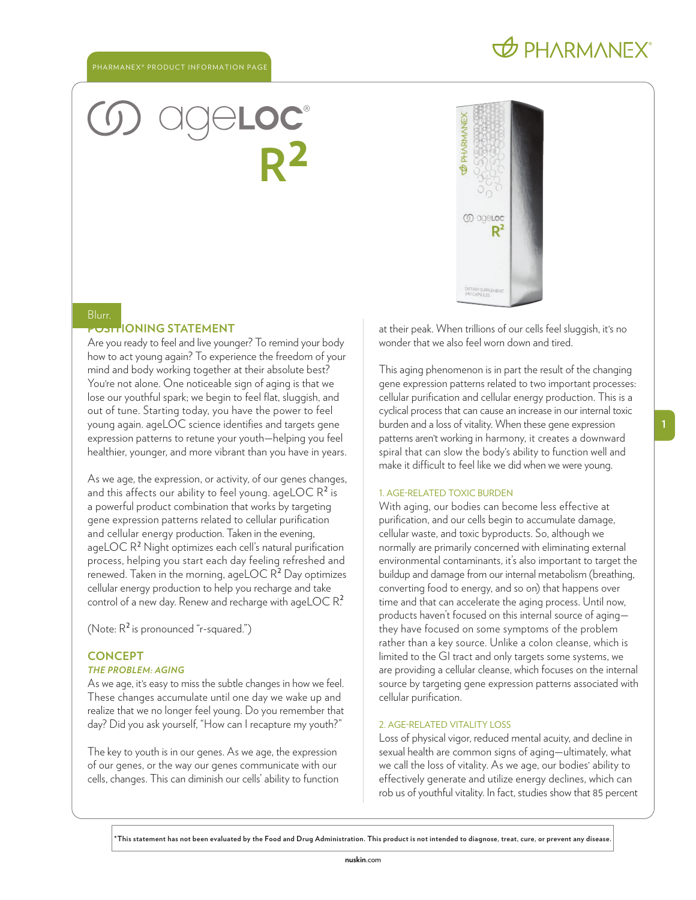## **b** PHARMANEX

# ® **R**<sup>2</sup>



## Blurr.

#### **PONING STATEMENT**

Are you ready to feel and live younger? To remind your body how to act young again? To experience the freedom of your mind and body working together at their absolute best? You' re not alone. One noticeable sign of aging is that we lose our youthful spark; we begin to feel flat, sluggish, and out of tune. Starting today, you have the power to feel young again. ageLOC science identifies and targets gene expression patterns to retune your youth—helping you feel healthier, younger, and more vibrant than you have in years.

As we age, the expression, or activity, of our genes changes, and this affects our ability to feel young. ageLOC  $R^2$  is a powerful product combination that works by targeting gene expression patterns related to cellular purification and cellular energy production. Taken in the evening, ageLOC R<sup>2</sup> Night optimizes each cell's natural purification process, helping you start each day feeling refreshed and renewed. Taken in the morning, ageLOC  $R^2$  Day optimizes cellular energy production to help you recharge and take control of a new day. Renew and recharge with ageLOC  $R^2$ .

(Note:  $R^2$  is pronounced "r-squared.")

#### **CONCEPT**

#### *THE PROBLEM: AGING*

As we age, it' s easy to miss the subtle changes in how we feel. These changes accumulate until one day we wake up and realize that we no longer feel young. Do you remember that day? Did you ask yourself, "How can I recapture my youth?"

The key to youth is in our genes. As we age, the expression of our genes, or the way our genes communicate with our cells, changes. This can diminish our cells' ability to function

at their peak. When trillions of our cells feel sluggish, it' s no wonder that we also feel worn down and tired.

This aging phenomenon is in part the result of the changing gene expression patterns related to two important processes: cellular purification and cellular energy production. This is a cyclical process that can cause an increase in our internal toxic burden and a loss of vitality. When these gene expression patterns aren' t working in harmony, it creates a downward spiral that can slow the body' s ability to function well and make it difficult to feel like we did when we were young.

#### 1. AGE-RELATED TOXIC BURDEN

With aging, our bodies can become less effective at purification, and our cells begin to accumulate damage, cellular waste, and toxic byproducts. So, although we normally are primarily concerned with eliminating external environmental contaminants, it's also important to target the buildup and damage from our internal metabolism (breathing, converting food to energy, and so on) that happens over time and that can accelerate the aging process. Until now, products haven't focused on this internal source of aging they have focused on some symptoms of the problem rather than a key source. Unlike a colon cleanse, which is limited to the GI tract and only targets some systems, we are providing a cellular cleanse, which focuses on the internal source by targeting gene expression patterns associated with cellular purification.

#### 2. AGE-RELATED VITALITY LOSS

Loss of physical vigor, reduced mental acuity, and decline in sexual health are common signs of aging—ultimately, what we call the loss of vitality. As we age, our bodies' ability to effectively generate and utilize energy declines, which can rob us of youthful vitality. In fact, studies show that 85 percent

**\*This statement has not been evaluated by the Food and Drug Administration. This product is not intended to diagnose, treat, cure, or prevent any disease.**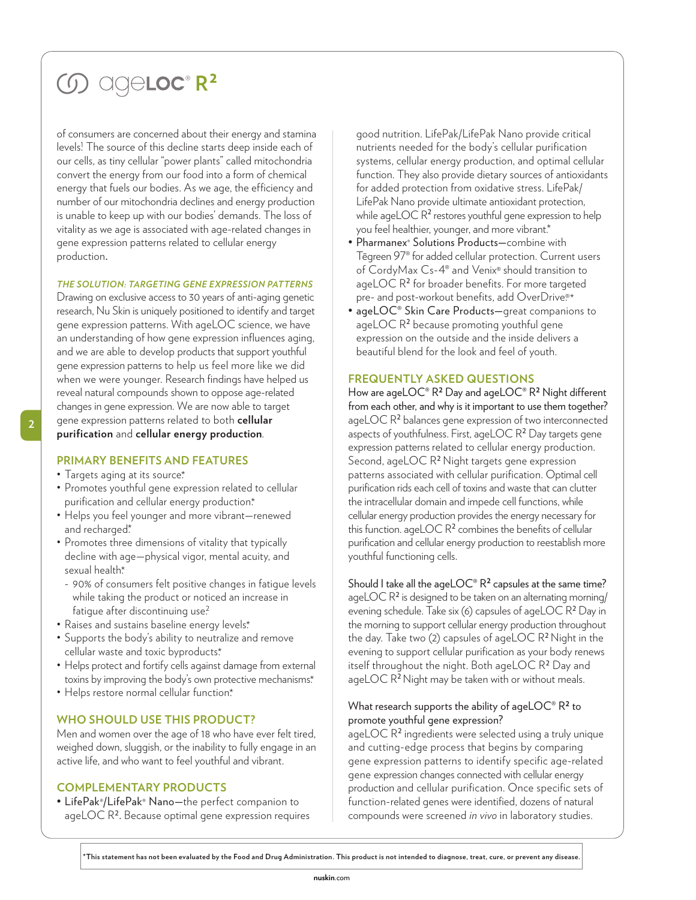# *G* ageloc<sup>®</sup> R<sup>2</sup>

of consumers are concerned about their energy and stamina levels! The source of this decline starts deep inside each of our cells, as tiny cellular "power plants" called mitochondria convert the energy from our food into a form of chemical energy that fuels our bodies. As we age, the efficiency and number of our mitochondria declines and energy production is unable to keep up with our bodies' demands. The loss of vitality as we age is associated with age-related changes in gene expression patterns related to cellular energy production.

#### *THE SOLUTION: TARGETING GENE EXPRESSION PATTERNS*

Drawing on exclusive access to 30 years of anti-aging genetic research, Nu Skin is uniquely positioned to identify and target gene expression patterns. With ageLOC science, we have an understanding of how gene expression influences aging, and we are able to develop products that support youthful gene expression patterns to help us feel more like we did when we were younger. Research findings have helped us reveal natural compounds shown to oppose age-related changes in gene expression. We are now able to target gene expression patterns related to both **cellular purification** and **cellular energy production**.

#### **PRIMARY BENEFITS AND FEATURES**

- Targets aging at its source\*
- Promotes youthful gene expression related to cellular purification and cellular energy production.\*
- Helps you feel younger and more vibrant—renewed and recharged\*
- Promotes three dimensions of vitality that typically decline with age—physical vigor, mental acuity, and sexual health\*
	- 90% of consumers felt positive changes in fatigue levels while taking the product or noticed an increase in fatique after discontinuing use?
- Raises and sustains baseline energy levels\*
- Supports the body's ability to neutralize and remove cellular waste and toxic byproducts\*
- Helps protect and fortify cells against damage from external toxins by improving the body's own protective mechanisms\*
- Helps restore normal cellular function\*

#### **WHO SHOULD USE THIS PRODUCT?**

Men and women over the age of 18 who have ever felt tired, weighed down, sluggish, or the inability to fully engage in an active life, and who want to feel youthful and vibrant.

#### **COMPLEMENTARY PRODUCTS**

• LifePak®/LifePak® Nano—the perfect companion to ageLOC R2. Because optimal gene expression requires good nutrition. LifePak/LifePak Nano provide critical nutrients needed for the body's cellular purification systems, cellular energy production, and optimal cellular function. They also provide dietary sources of antioxidants for added protection from oxidative stress. LifePak/ LifePak Nano provide ultimate antioxidant protection, while ageLOC  $\mathsf{R}^2$  restores youthful gene expression to help you feel healthier, younger, and more vibrant.\*

- Pharmanex® Solutions Products—combine with Tēgreen 97® for added cellular protection. Current users of CordyMax Cs-4® and Venix® should transition to ageLOC R<sup>2</sup> for broader benefits. For more targeted pre- and post-workout benefits, add OverDrive.<sup>®\*</sup>
- ageLOC® Skin Care Products—great companions to ageLOC R<sup>2</sup> because promoting youthful gene expression on the outside and the inside delivers a beautiful blend for the look and feel of youth.

#### **FREQUENTLY ASKED QUESTIONS**

How are ageLOC® R**2** Day and ageLOC® R**2** Night different from each other, and why is it important to use them together? ageLOC R<sup>2</sup> balances gene expression of two interconnected aspects of youthfulness. First, ageLOC R<sup>2</sup> Day targets gene expression patterns related to cellular energy production. Second, ageLOC R<sup>2</sup> Night targets gene expression patterns associated with cellular purification. Optimal cell purification rids each cell of toxins and waste that can clutter the intracellular domain and impede cell functions, while cellular energy production provides the energy necessary for this function. ageLOC R<sup>2</sup> combines the benefits of cellular purification and cellular energy production to reestablish more youthful functioning cells.

#### Should I take all the ageLOC® R**<sup>2</sup>** capsules at the same time?

ageLOC R<sup>2</sup> is designed to be taken on an alternating morning/ evening schedule. Take six (6) capsules of ageLOC R<sup>2</sup> Day in the morning to support cellular energy production throughout the day. Take two (2) capsules of ageLOC R<sup>2</sup> Night in the evening to support cellular purification as your body renews itself throughout the night. Both ageLOC R<sup>2</sup> Day and ageLOC R<sup>2</sup> Night may be taken with or without meals.

#### What research supports the ability of ageLOC® R**2** to promote youthful gene expression?

ageLOC R<sup>2</sup> ingredients were selected using a truly unique and cutting-edge process that begins by comparing gene expression patterns to identify specific age-related gene expression changes connected with cellular energy production and cellular purification. Once specific sets of function-related genes were identified, dozens of natural compounds were screened *in vivo* in laboratory studies.